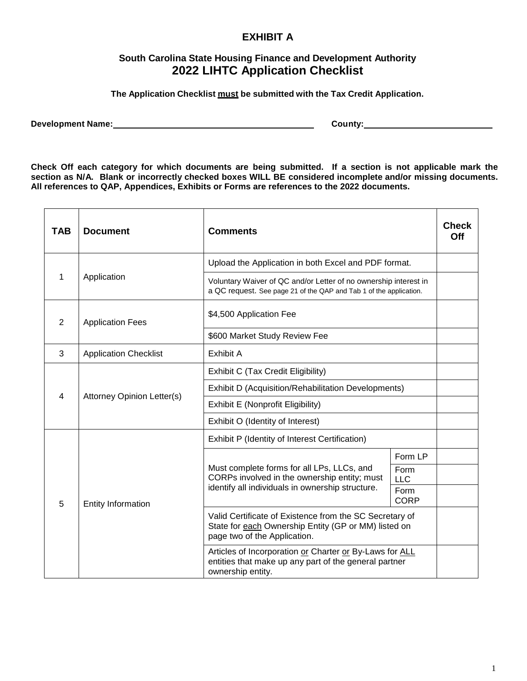## **EXHIBIT A**

## **South Carolina State Housing Finance and Development Authority 2022 LIHTC Application Checklist**

**The Application Checklist must be submitted with the Tax Credit Application.**

**Development Name: County:**

**Check Off each category for which documents are being submitted. If a section is not applicable mark the section as N/A. Blank or incorrectly checked boxes WILL BE considered incomplete and/or missing documents. All references to QAP, Appendices, Exhibits or Forms are references to the 2022 documents.**

| <b>TAB</b> | <b>Document</b>              | <b>Comments</b>                                                                                                                                 |                     | <b>Check</b><br>Off |
|------------|------------------------------|-------------------------------------------------------------------------------------------------------------------------------------------------|---------------------|---------------------|
|            | Application                  | Upload the Application in both Excel and PDF format.                                                                                            |                     |                     |
| 1          |                              | Voluntary Waiver of QC and/or Letter of no ownership interest in<br>a QC request. See page 21 of the QAP and Tab 1 of the application.          |                     |                     |
| 2          | <b>Application Fees</b>      | \$4,500 Application Fee                                                                                                                         |                     |                     |
|            |                              | \$600 Market Study Review Fee                                                                                                                   |                     |                     |
| 3          | <b>Application Checklist</b> | Exhibit A                                                                                                                                       |                     |                     |
|            | Attorney Opinion Letter(s)   | Exhibit C (Tax Credit Eligibility)                                                                                                              |                     |                     |
| 4          |                              | Exhibit D (Acquisition/Rehabilitation Developments)                                                                                             |                     |                     |
|            |                              | Exhibit E (Nonprofit Eligibility)                                                                                                               |                     |                     |
|            |                              | Exhibit O (Identity of Interest)                                                                                                                |                     |                     |
| 5          | Entity Information           | Exhibit P (Identity of Interest Certification)                                                                                                  |                     |                     |
|            |                              | Must complete forms for all LPs, LLCs, and<br>CORPs involved in the ownership entity; must<br>identify all individuals in ownership structure.  | Form LP             |                     |
|            |                              |                                                                                                                                                 | Form<br><b>LLC</b>  |                     |
|            |                              |                                                                                                                                                 | Form<br><b>CORP</b> |                     |
|            |                              | Valid Certificate of Existence from the SC Secretary of<br>State for each Ownership Entity (GP or MM) listed on<br>page two of the Application. |                     |                     |
|            |                              | Articles of Incorporation or Charter or By-Laws for ALL<br>entities that make up any part of the general partner<br>ownership entity.           |                     |                     |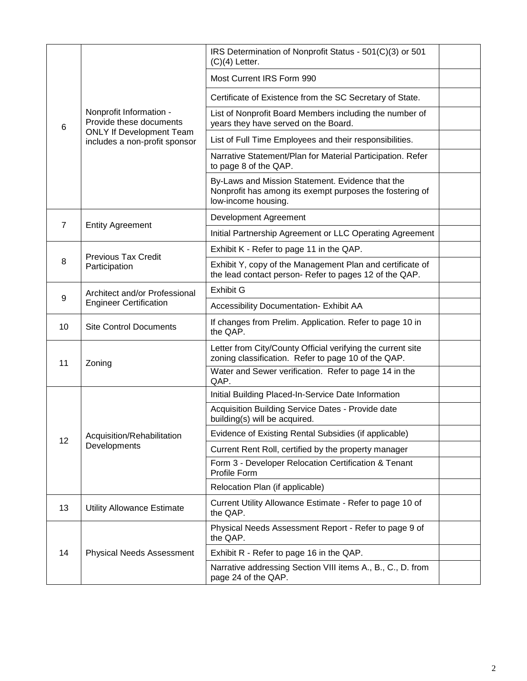| 6  | Nonprofit Information -<br>Provide these documents<br><b>ONLY If Development Team</b><br>includes a non-profit sponsor | IRS Determination of Nonprofit Status - 501(C)(3) or 501<br>$(C)(4)$ Letter.                                                        |  |
|----|------------------------------------------------------------------------------------------------------------------------|-------------------------------------------------------------------------------------------------------------------------------------|--|
|    |                                                                                                                        | Most Current IRS Form 990                                                                                                           |  |
|    |                                                                                                                        | Certificate of Existence from the SC Secretary of State.                                                                            |  |
|    |                                                                                                                        | List of Nonprofit Board Members including the number of<br>years they have served on the Board.                                     |  |
|    |                                                                                                                        | List of Full Time Employees and their responsibilities.                                                                             |  |
|    |                                                                                                                        | Narrative Statement/Plan for Material Participation. Refer<br>to page 8 of the QAP.                                                 |  |
|    |                                                                                                                        | By-Laws and Mission Statement. Evidence that the<br>Nonprofit has among its exempt purposes the fostering of<br>low-income housing. |  |
|    | <b>Entity Agreement</b>                                                                                                | Development Agreement                                                                                                               |  |
| 7  |                                                                                                                        | Initial Partnership Agreement or LLC Operating Agreement                                                                            |  |
|    | <b>Previous Tax Credit</b><br>Participation                                                                            | Exhibit K - Refer to page 11 in the QAP.                                                                                            |  |
| 8  |                                                                                                                        | Exhibit Y, copy of the Management Plan and certificate of<br>the lead contact person-Refer to pages 12 of the QAP.                  |  |
| 9  | Architect and/or Professional<br><b>Engineer Certification</b>                                                         | <b>Exhibit G</b>                                                                                                                    |  |
|    |                                                                                                                        | Accessibility Documentation- Exhibit AA                                                                                             |  |
| 10 | <b>Site Control Documents</b>                                                                                          | If changes from Prelim. Application. Refer to page 10 in<br>the QAP.                                                                |  |
| 11 | Zoning                                                                                                                 | Letter from City/County Official verifying the current site<br>zoning classification. Refer to page 10 of the QAP.                  |  |
|    |                                                                                                                        | Water and Sewer verification. Refer to page 14 in the<br>QAP.                                                                       |  |
|    | Acquisition/Rehabilitation<br>Developments                                                                             | Initial Building Placed-In-Service Date Information                                                                                 |  |
| 12 |                                                                                                                        | Acquisition Building Service Dates - Provide date<br>building(s) will be acquired.                                                  |  |
|    |                                                                                                                        | Evidence of Existing Rental Subsidies (if applicable)                                                                               |  |
|    |                                                                                                                        | Current Rent Roll, certified by the property manager                                                                                |  |
|    |                                                                                                                        | Form 3 - Developer Relocation Certification & Tenant<br>Profile Form                                                                |  |
|    |                                                                                                                        | Relocation Plan (if applicable)                                                                                                     |  |
| 13 | <b>Utility Allowance Estimate</b>                                                                                      | Current Utility Allowance Estimate - Refer to page 10 of<br>the QAP.                                                                |  |
| 14 | <b>Physical Needs Assessment</b>                                                                                       | Physical Needs Assessment Report - Refer to page 9 of<br>the QAP.                                                                   |  |
|    |                                                                                                                        | Exhibit R - Refer to page 16 in the QAP.                                                                                            |  |
|    |                                                                                                                        | Narrative addressing Section VIII items A., B., C., D. from<br>page 24 of the QAP.                                                  |  |